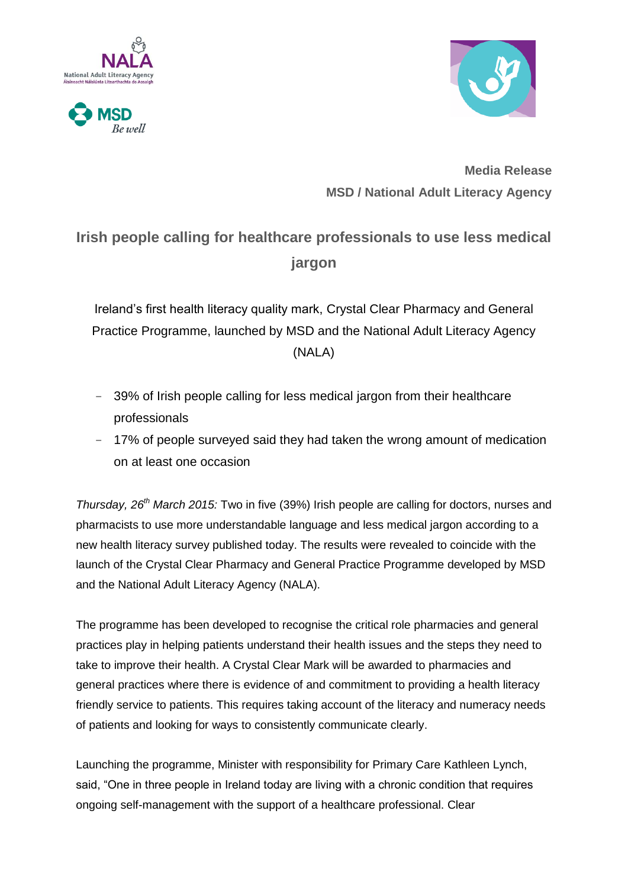





**Media Release MSD / National Adult Literacy Agency**

# **Irish people calling for healthcare professionals to use less medical jargon**

Ireland's first health literacy quality mark, Crystal Clear Pharmacy and General Practice Programme, launched by MSD and the National Adult Literacy Agency (NALA)

- **-** 39% of Irish people calling for less medical jargon from their healthcare professionals
- **-** 17% of people surveyed said they had taken the wrong amount of medication on at least one occasion

*Thursday, 26th March 2015:* Two in five (39%) Irish people are calling for doctors, nurses and pharmacists to use more understandable language and less medical jargon according to a new health literacy survey published today. The results were revealed to coincide with the launch of the Crystal Clear Pharmacy and General Practice Programme developed by MSD and the National Adult Literacy Agency (NALA).

The programme has been developed to recognise the critical role pharmacies and general practices play in helping patients understand their health issues and the steps they need to take to improve their health. A Crystal Clear Mark will be awarded to pharmacies and general practices where there is evidence of and commitment to providing a health literacy friendly service to patients. This requires taking account of the literacy and numeracy needs of patients and looking for ways to consistently communicate clearly.

Launching the programme, Minister with responsibility for Primary Care Kathleen Lynch, said, "One in three people in Ireland today are living with a chronic condition that requires ongoing self-management with the support of a healthcare professional. Clear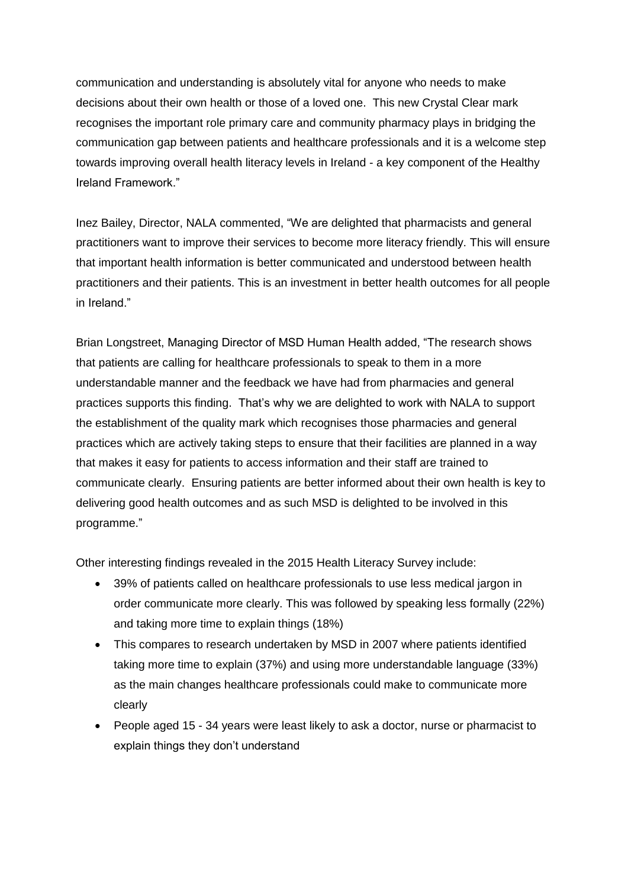communication and understanding is absolutely vital for anyone who needs to make decisions about their own health or those of a loved one. This new Crystal Clear mark recognises the important role primary care and community pharmacy plays in bridging the communication gap between patients and healthcare professionals and it is a welcome step towards improving overall health literacy levels in Ireland - a key component of the Healthy Ireland Framework."

Inez Bailey, Director, NALA commented, "We are delighted that pharmacists and general practitioners want to improve their services to become more literacy friendly. This will ensure that important health information is better communicated and understood between health practitioners and their patients. This is an investment in better health outcomes for all people in Ireland."

Brian Longstreet, Managing Director of MSD Human Health added, "The research shows that patients are calling for healthcare professionals to speak to them in a more understandable manner and the feedback we have had from pharmacies and general practices supports this finding. That's why we are delighted to work with NALA to support the establishment of the quality mark which recognises those pharmacies and general practices which are actively taking steps to ensure that their facilities are planned in a way that makes it easy for patients to access information and their staff are trained to communicate clearly. Ensuring patients are better informed about their own health is key to delivering good health outcomes and as such MSD is delighted to be involved in this programme."

Other interesting findings revealed in the 2015 Health Literacy Survey include:

- 39% of patients called on healthcare professionals to use less medical jargon in order communicate more clearly. This was followed by speaking less formally (22%) and taking more time to explain things (18%)
- This compares to research undertaken by MSD in 2007 where patients identified taking more time to explain (37%) and using more understandable language (33%) as the main changes healthcare professionals could make to communicate more clearly
- People aged 15 34 years were least likely to ask a doctor, nurse or pharmacist to explain things they don't understand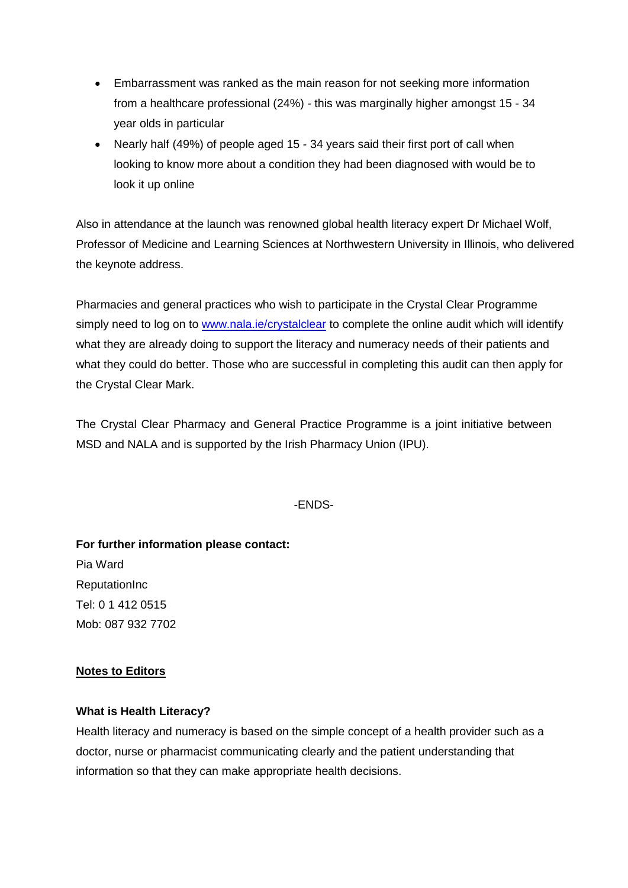- Embarrassment was ranked as the main reason for not seeking more information from a healthcare professional (24%) - this was marginally higher amongst 15 - 34 year olds in particular
- Nearly half (49%) of people aged 15 34 years said their first port of call when looking to know more about a condition they had been diagnosed with would be to look it up online

Also in attendance at the launch was renowned global health literacy expert Dr Michael Wolf, Professor of Medicine and Learning Sciences at Northwestern University in Illinois, who delivered the keynote address.

Pharmacies and general practices who wish to participate in the Crystal Clear Programme simply need to log on to [www.nala.ie/crystalclear](http://www.nala.ie/crystalclear) to complete the online audit which will identify what they are already doing to support the literacy and numeracy needs of their patients and what they could do better. Those who are successful in completing this audit can then apply for the Crystal Clear Mark.

The Crystal Clear Pharmacy and General Practice Programme is a joint initiative between MSD and NALA and is supported by the Irish Pharmacy Union (IPU).

## -ENDS-

**For further information please contact:** Pia Ward **ReputationInc** Tel: 0 1 412 0515 Mob: 087 932 7702

## **Notes to Editors**

## **What is Health Literacy?**

Health literacy and numeracy is based on the simple concept of a health provider such as a doctor, nurse or pharmacist communicating clearly and the patient understanding that information so that they can make appropriate health decisions.